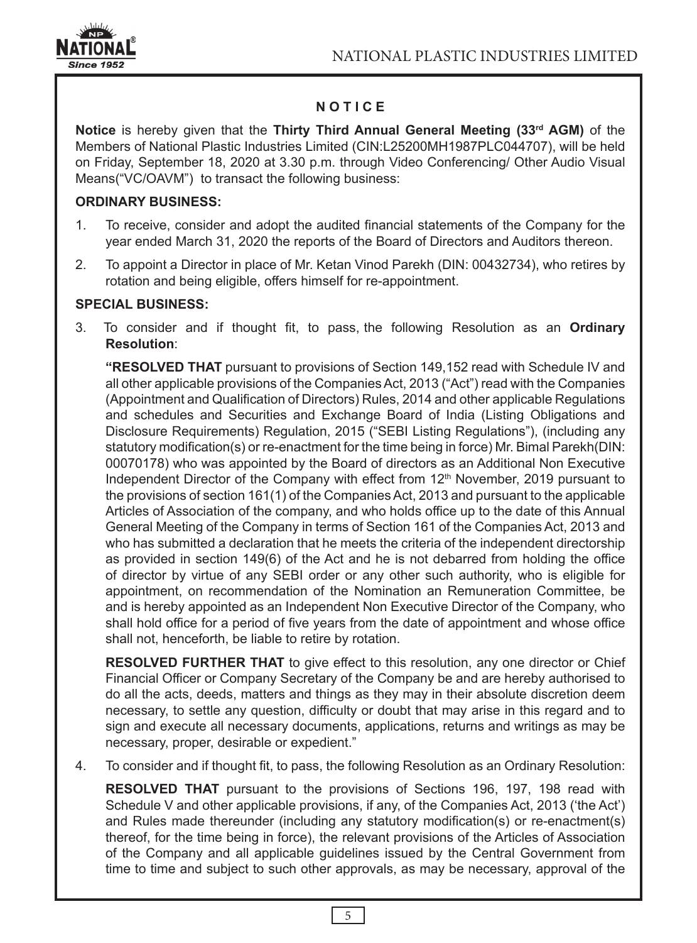

# **N O T I C E**

**Notice** is hereby given that the **Thirty Third Annual General Meeting (33rd AGM)** of the Members of National Plastic Industries Limited (CIN:L25200MH1987PLC044707), will be held on Friday, September 18, 2020 at 3.30 p.m. through Video Conferencing/ Other Audio Visual Means("VC/OAVM") to transact the following business:

## **ORDINARY BUSINESS:**

- 1. To receive, consider and adopt the audited financial statements of the Company for the year ended March 31, 2020 the reports of the Board of Directors and Auditors thereon.
- 2. To appoint a Director in place of Mr. Ketan Vinod Parekh (DIN: 00432734), who retires by rotation and being eligible, offers himself for re-appointment.

## **SPECIAL BUSINESS:**

3. To consider and if thought fit, to pass, the following Resolution as an **Ordinary Resolution**:

**"RESOLVED THAT** pursuant to provisions of Section 149,152 read with Schedule IV and all other applicable provisions of the Companies Act, 2013 ("Act") read with the Companies (Appointment and Qualification of Directors) Rules, 2014 and other applicable Regulations and schedules and Securities and Exchange Board of India (Listing Obligations and Disclosure Requirements) Regulation, 2015 ("SEBI Listing Regulations"), (including any statutory modification(s) or re-enactment for the time being in force) Mr. Bimal Parekh(DIN: 00070178) who was appointed by the Board of directors as an Additional Non Executive Independent Director of the Company with effect from  $12<sup>th</sup>$  November, 2019 pursuant to the provisions of section 161(1) of the Companies Act, 2013 and pursuant to the applicable Articles of Association of the company, and who holds office up to the date of this Annual General Meeting of the Company in terms of Section 161 of the Companies Act, 2013 and who has submitted a declaration that he meets the criteria of the independent directorship as provided in section 149(6) of the Act and he is not debarred from holding the office of director by virtue of any SEBI order or any other such authority, who is eligible for appointment, on recommendation of the Nomination an Remuneration Committee, be and is hereby appointed as an Independent Non Executive Director of the Company, who shall hold office for a period of five years from the date of appointment and whose office shall not, henceforth, be liable to retire by rotation.

**RESOLVED FURTHER THAT** to give effect to this resolution, any one director or Chief Financial Officer or Company Secretary of the Company be and are hereby authorised to do all the acts, deeds, matters and things as they may in their absolute discretion deem necessary, to settle any question, difficulty or doubt that may arise in this regard and to sign and execute all necessary documents, applications, returns and writings as may be necessary, proper, desirable or expedient."

4. To consider and if thought fit, to pass, the following Resolution as an Ordinary Resolution:

**RESOLVED THAT** pursuant to the provisions of Sections 196, 197, 198 read with Schedule V and other applicable provisions, if any, of the Companies Act, 2013 ('the Act') and Rules made thereunder (including any statutory modification(s) or re-enactment(s) thereof, for the time being in force), the relevant provisions of the Articles of Association of the Company and all applicable guidelines issued by the Central Government from time to time and subject to such other approvals, as may be necessary, approval of the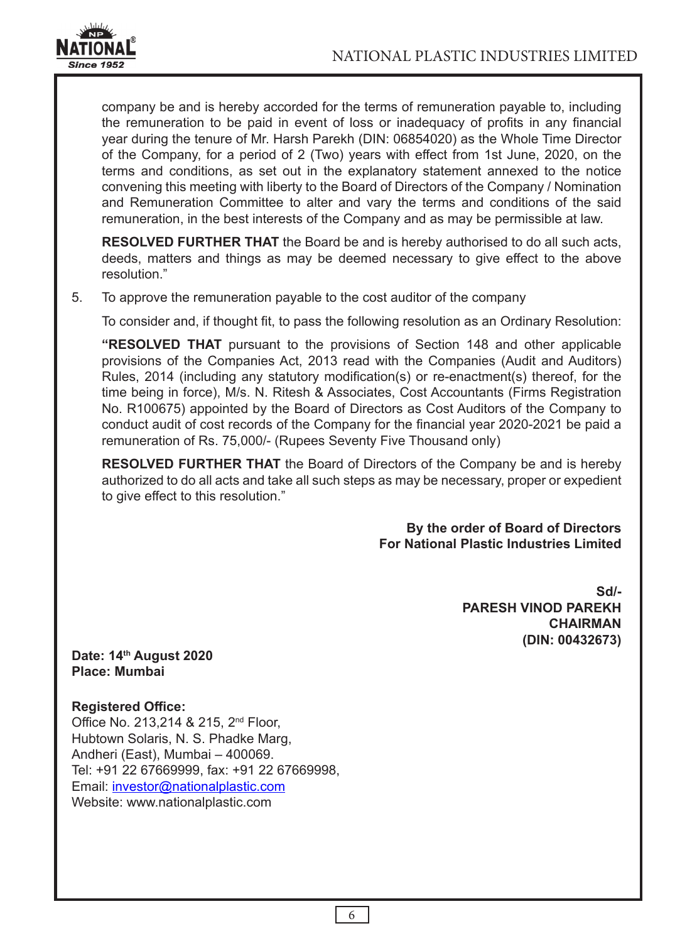

company be and is hereby accorded for the terms of remuneration payable to, including the remuneration to be paid in event of loss or inadequacy of profits in any financial year during the tenure of Mr. Harsh Parekh (DIN: 06854020) as the Whole Time Director of the Company, for a period of 2 (Two) years with effect from 1st June, 2020, on the terms and conditions, as set out in the explanatory statement annexed to the notice convening this meeting with liberty to the Board of Directors of the Company / Nomination and Remuneration Committee to alter and vary the terms and conditions of the said remuneration, in the best interests of the Company and as may be permissible at law.

**RESOLVED FURTHER THAT** the Board be and is hereby authorised to do all such acts, deeds, matters and things as may be deemed necessary to give effect to the above resolution."

5. To approve the remuneration payable to the cost auditor of the company

To consider and, if thought fit, to pass the following resolution as an Ordinary Resolution:

**"RESOLVED THAT** pursuant to the provisions of Section 148 and other applicable provisions of the Companies Act, 2013 read with the Companies (Audit and Auditors) Rules, 2014 (including any statutory modification(s) or re-enactment(s) thereof, for the time being in force), M/s. N. Ritesh & Associates, Cost Accountants (Firms Registration No. R100675) appointed by the Board of Directors as Cost Auditors of the Company to conduct audit of cost records of the Company for the financial year 2020-2021 be paid a remuneration of Rs. 75,000/- (Rupees Seventy Five Thousand only)

**RESOLVED FURTHER THAT** the Board of Directors of the Company be and is hereby authorized to do all acts and take all such steps as may be necessary, proper or expedient to give effect to this resolution."

> **By the order of Board of Directors For National Plastic Industries Limited**

> > **Sd/- PARESH VINOD PAREKH CHAIRMAN (DIN: 00432673)**

**Date: 14th August 2020 Place: Mumbai**

**Registered Office:**

Office No. 213,214 & 215, 2<sup>nd</sup> Floor, Hubtown Solaris, N. S. Phadke Marg, Andheri (East), Mumbai – 400069. Tel: +91 22 67669999, fax: +91 22 67669998, Email: investor@nationalplastic.com Website: www.nationalplastic.com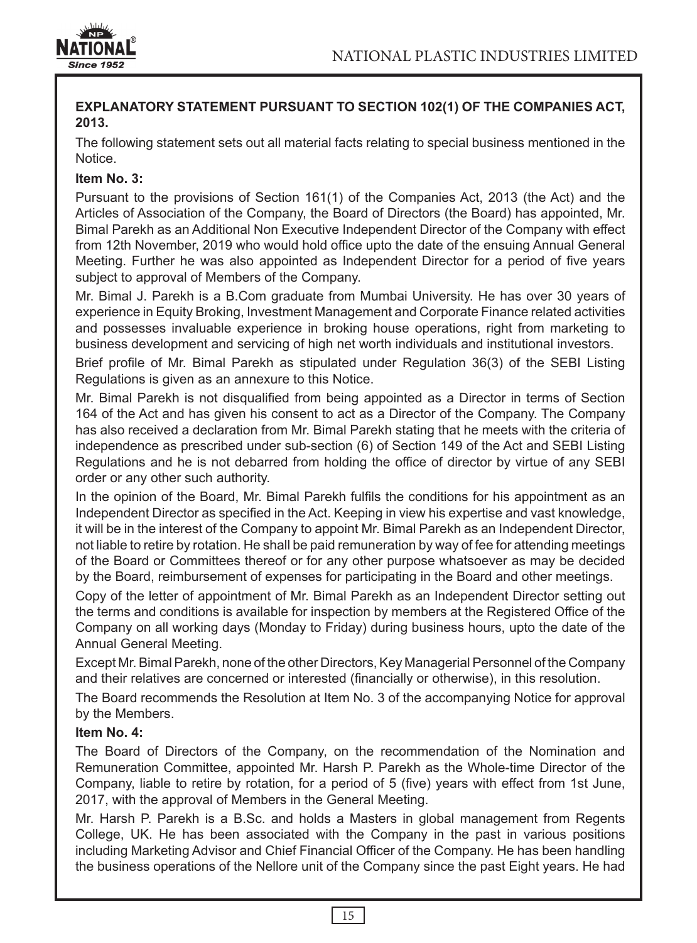

## **EXPLANATORY STATEMENT PURSUANT TO SECTION 102(1) OF THE COMPANIES ACT, 2013.**

The following statement sets out all material facts relating to special business mentioned in the Notice.

## **Item No. 3:**

Pursuant to the provisions of Section 161(1) of the Companies Act, 2013 (the Act) and the Articles of Association of the Company, the Board of Directors (the Board) has appointed, Mr. Bimal Parekh as an Additional Non Executive Independent Director of the Company with effect from 12th November, 2019 who would hold office upto the date of the ensuing Annual General Meeting. Further he was also appointed as Independent Director for a period of five years subject to approval of Members of the Company.

Mr. Bimal J. Parekh is a B.Com graduate from Mumbai University. He has over 30 years of experience in Equity Broking, Investment Management and Corporate Finance related activities and possesses invaluable experience in broking house operations, right from marketing to business development and servicing of high net worth individuals and institutional investors.

Brief profile of Mr. Bimal Parekh as stipulated under Regulation 36(3) of the SEBI Listing Regulations is given as an annexure to this Notice.

Mr. Bimal Parekh is not disqualified from being appointed as a Director in terms of Section 164 of the Act and has given his consent to act as a Director of the Company. The Company has also received a declaration from Mr. Bimal Parekh stating that he meets with the criteria of independence as prescribed under sub-section (6) of Section 149 of the Act and SEBI Listing Regulations and he is not debarred from holding the office of director by virtue of any SEBI order or any other such authority.

In the opinion of the Board, Mr. Bimal Parekh fulfils the conditions for his appointment as an Independent Director as specified in the Act. Keeping in view his expertise and vast knowledge, it will be in the interest of the Company to appoint Mr. Bimal Parekh as an Independent Director, not liable to retire by rotation. He shall be paid remuneration by way of fee for attending meetings of the Board or Committees thereof or for any other purpose whatsoever as may be decided by the Board, reimbursement of expenses for participating in the Board and other meetings.

Copy of the letter of appointment of Mr. Bimal Parekh as an Independent Director setting out the terms and conditions is available for inspection by members at the Registered Office of the Company on all working days (Monday to Friday) during business hours, upto the date of the Annual General Meeting.

Except Mr. Bimal Parekh, none of the other Directors, Key Managerial Personnel of the Company and their relatives are concerned or interested (financially or otherwise), in this resolution.

The Board recommends the Resolution at Item No. 3 of the accompanying Notice for approval by the Members.

### **Item No. 4:**

The Board of Directors of the Company, on the recommendation of the Nomination and Remuneration Committee, appointed Mr. Harsh P. Parekh as the Whole-time Director of the Company, liable to retire by rotation, for a period of 5 (five) years with effect from 1st June, 2017, with the approval of Members in the General Meeting.

Mr. Harsh P. Parekh is a B.Sc. and holds a Masters in global management from Regents College, UK. He has been associated with the Company in the past in various positions including Marketing Advisor and Chief Financial Officer of the Company. He has been handling the business operations of the Nellore unit of the Company since the past Eight years. He had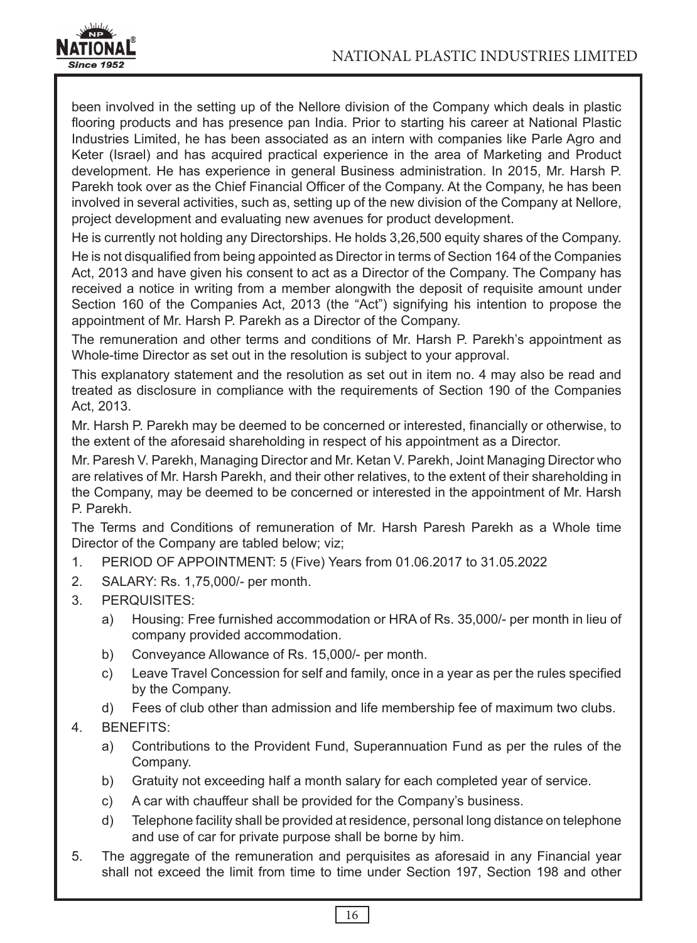

been involved in the setting up of the Nellore division of the Company which deals in plastic flooring products and has presence pan India. Prior to starting his career at National Plastic Industries Limited, he has been associated as an intern with companies like Parle Agro and Keter (Israel) and has acquired practical experience in the area of Marketing and Product development. He has experience in general Business administration. In 2015, Mr. Harsh P. Parekh took over as the Chief Financial Officer of the Company. At the Company, he has been involved in several activities, such as, setting up of the new division of the Company at Nellore, project development and evaluating new avenues for product development.

He is currently not holding any Directorships. He holds 3,26,500 equity shares of the Company.

He is not disqualified from being appointed as Director in terms of Section 164 of the Companies Act, 2013 and have given his consent to act as a Director of the Company. The Company has received a notice in writing from a member alongwith the deposit of requisite amount under Section 160 of the Companies Act, 2013 (the "Act") signifying his intention to propose the appointment of Mr. Harsh P. Parekh as a Director of the Company.

The remuneration and other terms and conditions of Mr. Harsh P. Parekh's appointment as Whole-time Director as set out in the resolution is subject to your approval.

This explanatory statement and the resolution as set out in item no. 4 may also be read and treated as disclosure in compliance with the requirements of Section 190 of the Companies Act, 2013.

Mr. Harsh P. Parekh may be deemed to be concerned or interested, financially or otherwise, to the extent of the aforesaid shareholding in respect of his appointment as a Director.

Mr. Paresh V. Parekh, Managing Director and Mr. Ketan V. Parekh, Joint Managing Director who are relatives of Mr. Harsh Parekh, and their other relatives, to the extent of their shareholding in the Company, may be deemed to be concerned or interested in the appointment of Mr. Harsh P. Parekh.

The Terms and Conditions of remuneration of Mr. Harsh Paresh Parekh as a Whole time Director of the Company are tabled below; viz;

- 1. PERIOD OF APPOINTMENT: 5 (Five) Years from 01.06.2017 to 31.05.2022
- 2. SALARY: Rs. 1,75,000/- per month.
- 3. PERQUISITES:
	- a) Housing: Free furnished accommodation or HRA of Rs. 35,000/- per month in lieu of company provided accommodation.
	- b) Conveyance Allowance of Rs. 15,000/- per month.
	- c) Leave Travel Concession for self and family, once in a year as per the rules specified by the Company.
	- d) Fees of club other than admission and life membership fee of maximum two clubs.

### 4. BENEFITS:

- a) Contributions to the Provident Fund, Superannuation Fund as per the rules of the Company.
- b) Gratuity not exceeding half a month salary for each completed year of service.
- c) A car with chauffeur shall be provided for the Company's business.
- d) Telephone facility shall be provided at residence, personal long distance on telephone and use of car for private purpose shall be borne by him.
- 5. The aggregate of the remuneration and perquisites as aforesaid in any Financial year shall not exceed the limit from time to time under Section 197, Section 198 and other